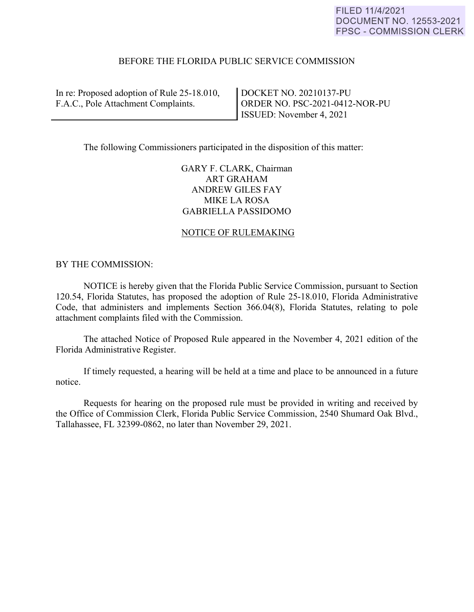# BEFORE THE FLORIDA PUBLIC SERVICE COMMISSION

In re: Proposed adoption of Rule 25-18.010, F.A.C., Pole Attachment Complaints.

DOCKET NO. 20210137-PU ORDER NO. PSC-2021-0412-NOR-PU ISSUED: November 4, 2021

The following Commissioners participated in the disposition of this matter:

GARY F. CLARK, Chairman ART GRAHAM ANDREW GILES FAY MIKE LA ROSA GABRIELLA PASSIDOMO

# NOTICE OF RULEMAKING

## BY THE COMMISSION:

 NOTICE is hereby given that the Florida Public Service Commission, pursuant to Section 120.54, Florida Statutes, has proposed the adoption of Rule 25-18.010, Florida Administrative Code, that administers and implements Section 366.04(8), Florida Statutes, relating to pole attachment complaints filed with the Commission.

 The attached Notice of Proposed Rule appeared in the November 4, 2021 edition of the Florida Administrative Register.

 If timely requested, a hearing will be held at a time and place to be announced in a future notice.

 Requests for hearing on the proposed rule must be provided in writing and received by the Office of Commission Clerk, Florida Public Service Commission, 2540 Shumard Oak Blvd., Tallahassee, FL 32399-0862, no later than November 29, 2021.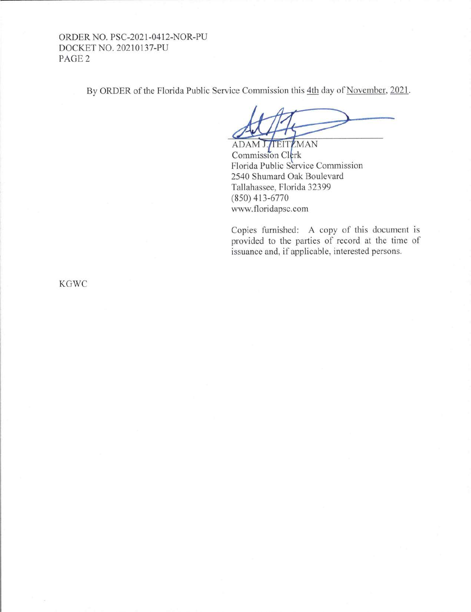# ORDER NO. PSC-2021-0412-NOR-PU DOCKET NO. 20210137-PU PAGE2

By ORDER of the Florida Public Service Commission this 4th day of November, 2021.

ADAM J. TEITZMAN Commission Clerk Florida Public Service Commission 2540 Shumard Oak Boulevard Tallahassee, Florida 32399 (850) 413-6770 www.floridapsc.com

Copies furnished: A copy of this document is provided to the parties of record at the time of issuance and, if applicable, interested persons.

KGWC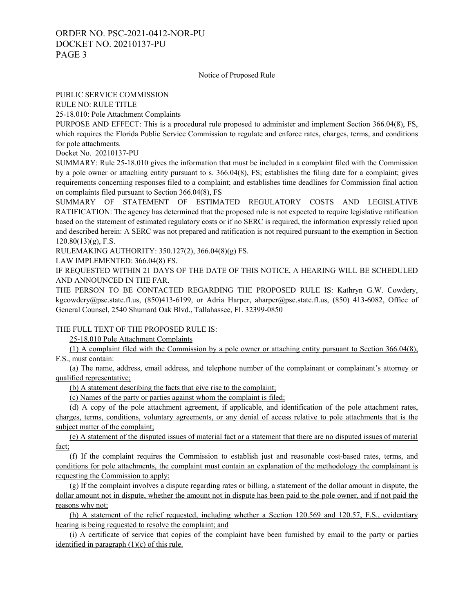#### Notice of Proposed Rule

#### PUBLIC SERVICE COMMISSION

RULE NO: RULE TITLE

25-18.010: Pole Attachment Complaints

PURPOSE AND EFFECT: This is a procedural rule proposed to administer and implement Section 366.04(8), FS, which requires the Florida Public Service Commission to regulate and enforce rates, charges, terms, and conditions for pole attachments.

Docket No. 20210137-PU

SUMMARY: Rule 25-18.010 gives the information that must be included in a complaint filed with the Commission by a pole owner or attaching entity pursuant to s. 366.04(8), FS; establishes the filing date for a complaint; gives requirements concerning responses filed to a complaint; and establishes time deadlines for Commission final action on complaints filed pursuant to Section 366.04(8), FS

SUMMARY OF STATEMENT OF ESTIMATED REGULATORY COSTS AND LEGISLATIVE RATIFICATION: The agency has determined that the proposed rule is not expected to require legislative ratification based on the statement of estimated regulatory costs or if no SERC is required, the information expressly relied upon and described herein: A SERC was not prepared and ratification is not required pursuant to the exemption in Section  $120.80(13)(g)$ , F.S.

RULEMAKING AUTHORITY: 350.127(2), 366.04(8)(g) FS.

LAW IMPLEMENTED: 366.04(8) FS.

IF REQUESTED WITHIN 21 DAYS OF THE DATE OF THIS NOTICE, A HEARING WILL BE SCHEDULED AND ANNOUNCED IN THE FAR.

THE PERSON TO BE CONTACTED REGARDING THE PROPOSED RULE IS: Kathryn G.W. Cowdery, kgcowdery@psc.state.fl.us, (850)413-6199, or Adria Harper, aharper@psc.state.fl.us, (850) 413-6082, Office of General Counsel, 2540 Shumard Oak Blvd., Tallahassee, FL 32399-0850

### THE FULL TEXT OF THE PROPOSED RULE IS:

25-18.010 Pole Attachment Complaints

(1) A complaint filed with the Commission by a pole owner or attaching entity pursuant to Section 366.04(8), F.S., must contain:

(a) The name, address, email address, and telephone number of the complainant or complainant's attorney or qualified representative;

(b) A statement describing the facts that give rise to the complaint;

(c) Names of the party or parties against whom the complaint is filed;

(d) A copy of the pole attachment agreement, if applicable, and identification of the pole attachment rates, charges, terms, conditions, voluntary agreements, or any denial of access relative to pole attachments that is the subject matter of the complaint;

(e) A statement of the disputed issues of material fact or a statement that there are no disputed issues of material fact;

(f) If the complaint requires the Commission to establish just and reasonable cost-based rates, terms, and conditions for pole attachments, the complaint must contain an explanation of the methodology the complainant is requesting the Commission to apply;

(g) If the complaint involves a dispute regarding rates or billing, a statement of the dollar amount in dispute, the dollar amount not in dispute, whether the amount not in dispute has been paid to the pole owner, and if not paid the reasons why not;

(h) A statement of the relief requested, including whether a Section 120.569 and 120.57, F.S., evidentiary hearing is being requested to resolve the complaint; and

(i) A certificate of service that copies of the complaint have been furnished by email to the party or parties identified in paragraph  $(1)(c)$  of this rule.